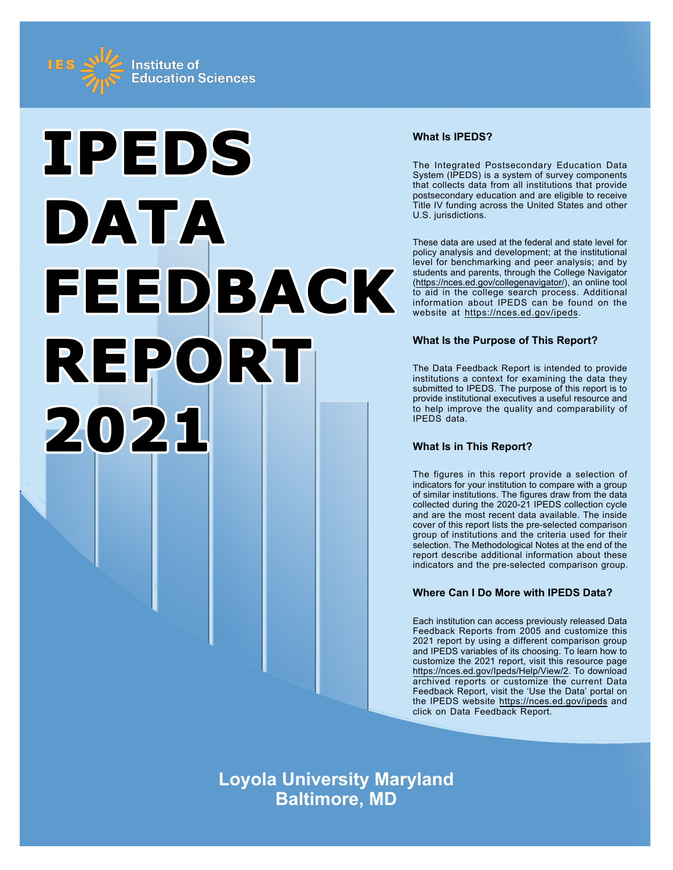



# **What Is IPEDS?**

The Integrated Postsecondary Education Data System (IPEDS) is a system of survey components that collects data from all institutions that provide postsecondary education and are eligible to receive Title IV funding across the United States and other U.S. jurisdictions.

These data are used at the federal and state level for policy analysis and development; at the institutional level for benchmarking and peer analysis; and by students and parents, through the College Navigator ([https://nces.ed.gov/collegenavigator/\)](https://nces.ed.gov/collegenavigator/), an online tool to aid in the college search process. Additional information about IPEDS can be found on the website at<https://nces.ed.gov/ipeds>.

# **What Is the Purpose of This Report?**

The Data Feedback Report is intended to provide institutions a context for examining the data they submitted to IPEDS. The purpose of this report is to provide institutional executives a useful resource and to help improve the quality and comparability of IPEDS data.

# **What Is in This Report?**

The figures in this report provide a selection of indicators for your institution to compare with a group of similar institutions. The figures draw from the data collected during the 2020-21 IPEDS collection cycle and are the most recent data available. The inside cover of this report lists the pre-selected comparison group of institutions and the criteria used for their selection. The Methodological Notes at the end of the report describe additional information about these indicators and the pre-selected comparison group.

# **Where Can I Do More with IPEDS Data?**

Each institution can access previously released Data Feedback Reports from 2005 and customize this 2021 report by using a different comparison group and IPEDS variables of its choosing. To learn how to customize the 2021 report, visit this resource page <https://nces.ed.gov/Ipeds/Help/View/2>. To download archived reports or customize the current Data Feedback Report, visit the 'Use the Data' portal on the IPEDS website<https://nces.ed.gov/ipeds> and click on Data Feedback Report.

**Loyola University Maryland Baltimore, MD**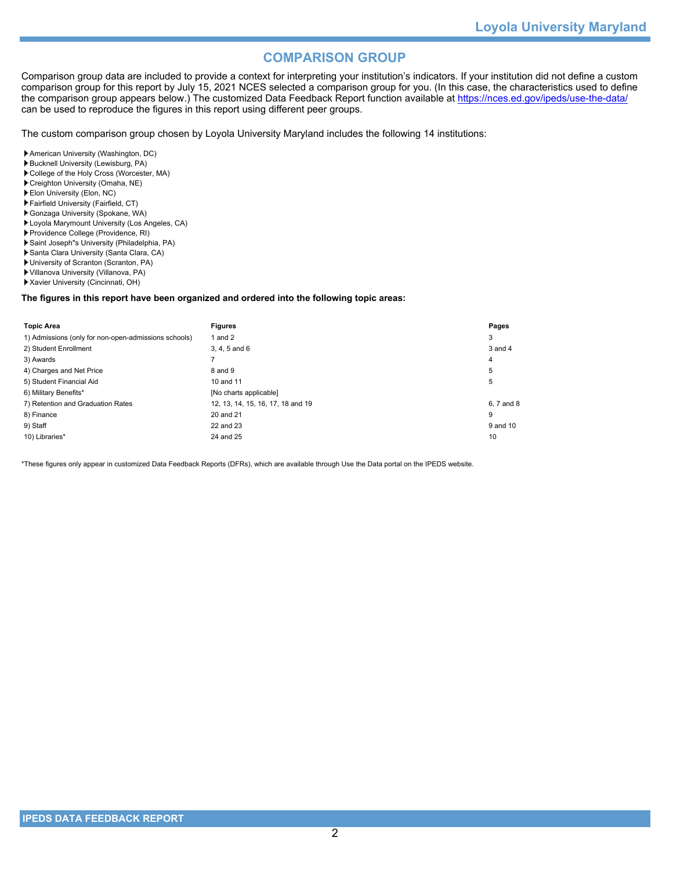# **COMPARISON GROUP**

Comparison group data are included to provide a context for interpreting your institution's indicators. If your institution did not define a custom comparison group for this report by July 15, 2021 NCES selected a comparison group for you. (In this case, the characteristics used to define the comparison group appears below.) The customized Data Feedback Report function available at<https://nces.ed.gov/ipeds/use-the-data/> can be used to reproduce the figures in this report using different peer groups.

The custom comparison group chosen by Loyola University Maryland includes the following 14 institutions:

- American University (Washington, DC)
- Bucknell University (Lewisburg, PA)
- College of the Holy Cross (Worcester, MA) Creighton University (Omaha, NE)
- Elon University (Elon, NC)
- Fairfield University (Fairfield, CT)
- Gonzaga University (Spokane, WA)
- Loyola Marymount University (Los Angeles, CA)
- Providence College (Providence, RI)
- Saint Joseph"s University (Philadelphia, PA)
- Santa Clara University (Santa Clara, CA)
- University of Scranton (Scranton, PA)
- Villanova University (Villanova, PA)
- Xavier University (Cincinnati, OH)

### **The figures in this report have been organized and ordered into the following topic areas:**

| <b>Topic Area</b>                                    | <b>Figures</b>                    | Pages      |
|------------------------------------------------------|-----------------------------------|------------|
| 1) Admissions (only for non-open-admissions schools) | and 2                             | 3          |
| 2) Student Enrollment                                | 3, 4, 5 and 6                     | 3 and 4    |
| 3) Awards                                            |                                   | 4          |
| 4) Charges and Net Price                             | 8 and 9                           | 5          |
| 5) Student Financial Aid                             | 10 and 11                         | 5          |
| 6) Military Benefits*                                | [No charts applicable]            |            |
| 7) Retention and Graduation Rates                    | 12, 13, 14, 15, 16, 17, 18 and 19 | 6, 7 and 8 |
| 8) Finance                                           | 20 and 21                         | 9          |
| 9) Staff                                             | 22 and 23                         | 9 and 10   |
| 10) Libraries*                                       | 24 and 25                         | 10         |

\*These figures only appear in customized Data Feedback Reports (DFRs), which are available through Use the Data portal on the IPEDS website.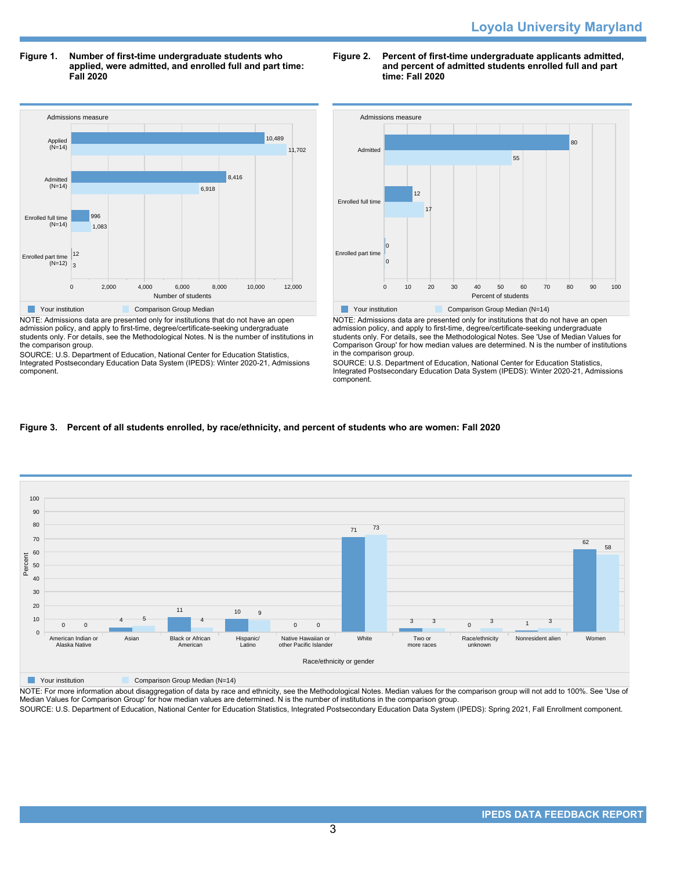**Figure 1. Number of first-time undergraduate students who applied, were admitted, and enrolled full and part time: Fall 2020**



NOTE: Admissions data are presented only for institutions that do not have an open admission policy, and apply to first-time, degree/certificate-seeking undergraduate students only. For details, see the Methodological Notes. N is the number of institutions in the comparison group.

SOURCE: U.S. Department of Education, National Center for Education Statistics, Integrated Postsecondary Education Data System (IPEDS): Winter 2020-21, Admissions component.

# **Figure 2. Percent of first-time undergraduate applicants admitted, and percent of admitted students enrolled full and part time: Fall 2020**



NOTE: Admissions data are presented only for institutions that do not have an open admission policy, and apply to first-time, degree/certificate-seeking undergraduate students only. For details, see the Methodological Notes. See 'Use of Median Values for Comparison Group' for how median values are determined. N is the number of institutions in the comparison group.

SOURCE: U.S. Department of Education, National Center for Education Statistics, Integrated Postsecondary Education Data System (IPEDS): Winter 2020-21, Admissions component.

# **Figure 3. Percent of all students enrolled, by race/ethnicity, and percent of students who are women: Fall 2020**



**Nour institution Comparison Group Median (N=14)** 

NOTE: For more information about disaggregation of data by race and ethnicity, see the Methodological Notes. Median values for the comparison group will not add to 100%. See 'Use of Median Values for Comparison Group' for how median values are determined. N is the number of institutions in the comparison group.

SOURCE: U.S. Department of Education, National Center for Education Statistics, Integrated Postsecondary Education Data System (IPEDS): Spring 2021, Fall Enrollment component.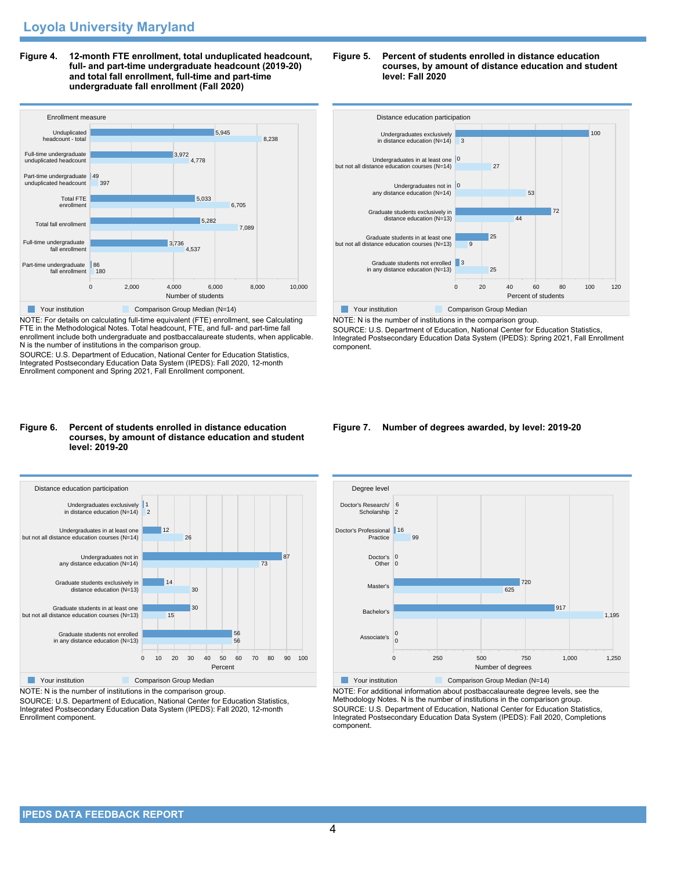**Figure 4. 12-month FTE enrollment, total unduplicated headcount, full- and part-time undergraduate headcount (2019-20) and total fall enrollment, full-time and part-time undergraduate fall enrollment (Fall 2020)**



NOTE: For details on calculating full-time equivalent (FTE) enrollment, see Calculating FTE in the Methodological Notes. Total headcount, FTE, and full- and part-time fall enrollment include both undergraduate and postbaccalaureate students, when applicable. N is the number of institutions in the comparison group.

SOURCE: U.S. Department of Education, National Center for Education Statistics, Integrated Postsecondary Education Data System (IPEDS): Fall 2020, 12-month Enrollment component and Spring 2021, Fall Enrollment component.

#### **Figure 6. Percent of students enrolled in distance education courses, by amount of distance education and student level: 2019-20**



NOTE: N is the number of institutions in the comparison group.

SOURCE: U.S. Department of Education, National Center for Education Statistics, Integrated Postsecondary Education Data System (IPEDS): Fall 2020, 12-month Enrollment component.

### **Figure 5. Percent of students enrolled in distance education courses, by amount of distance education and student level: Fall 2020**



NOTE: N is the number of institutions in the comparison group. SOURCE: U.S. Department of Education, National Center for Education Statistics, Integrated Postsecondary Education Data System (IPEDS): Spring 2021, Fall Enrollment component.

### **Figure 7. Number of degrees awarded, by level: 2019-20**



NOTE: For additional information about postbaccalaureate degree levels, see the Methodology Notes. N is the number of institutions in the comparison group. SOURCE: U.S. Department of Education, National Center for Education Statistics, Integrated Postsecondary Education Data System (IPEDS): Fall 2020, Completions component.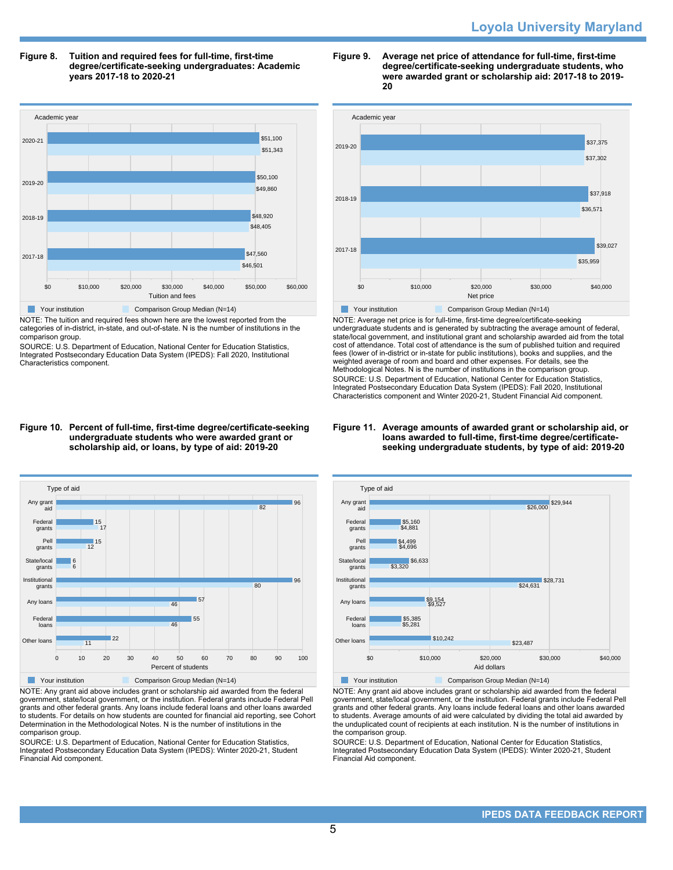### **Figure 8. Tuition and required fees for full-time, first-time degree/certificate-seeking undergraduates: Academic years 2017-18 to 2020-21**



NOTE: The tuition and required fees shown here are the lowest reported from the categories of in-district, in-state, and out-of-state. N is the number of institutions in the comparison group.

SOURCE: U.S. Department of Education, National Center for Education Statistics, Integrated Postsecondary Education Data System (IPEDS): Fall 2020, Institutional Characteristics component.

#### **Figure 9. Average net price of attendance for full-time, first-time degree/certificate-seeking undergraduate students, who were awarded grant or scholarship aid: 2017-18 to 2019- 20**



NOTE: Average net price is for full-time, first-time degree/certificate-seeking undergraduate students and is generated by subtracting the average amount of federal, state/local government, and institutional grant and scholarship awarded aid from the total cost of attendance. Total cost of attendance is the sum of published tuition and required fees (lower of in-district or in-state for public institutions), books and supplies, and the weighted average of room and board and other expenses. For details, see the Methodological Notes. N is the number of institutions in the comparison group. SOURCE: U.S. Department of Education, National Center for Education Statistics, Integrated Postsecondary Education Data System (IPEDS): Fall 2020, Institutional Characteristics component and Winter 2020-21, Student Financial Aid component.

### **Figure 11. Average amounts of awarded grant or scholarship aid, or loans awarded to full-time, first-time degree/certificateseeking undergraduate students, by type of aid: 2019-20**



NOTE: Any grant aid above includes grant or scholarship aid awarded from the federal government, state/local government, or the institution. Federal grants include Federal Pell grants and other federal grants. Any loans include federal loans and other loans awarded to students. For details on how students are counted for financial aid reporting, see Cohort Determination in the Methodological Notes. N is the number of institutions in the comparison group.

SOURCE: U.S. Department of Education, National Center for Education Statistics, Integrated Postsecondary Education Data System (IPEDS): Winter 2020-21, Student Financial Aid component.



NOTE: Any grant aid above includes grant or scholarship aid awarded from the federal government, state/local government, or the institution. Federal grants include Federal Pell grants and other federal grants. Any loans include federal loans and other loans awarded to students. Average amounts of aid were calculated by dividing the total aid awarded by the unduplicated count of recipients at each institution. N is the number of institutions in the comparison group.

SOURCE: U.S. Department of Education, National Center for Education Statistics, Integrated Postsecondary Education Data System (IPEDS): Winter 2020-21, Student Financial Aid component.

### **Figure 10. Percent of full-time, first-time degree/certificate-seeking undergraduate students who were awarded grant or scholarship aid, or loans, by type of aid: 2019-20**

gra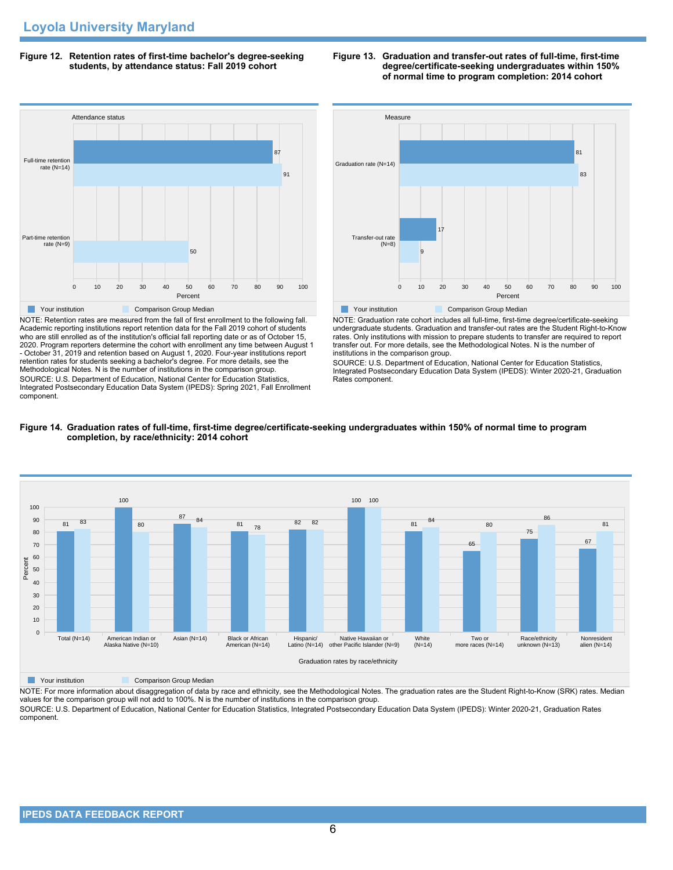**Figure 12. Retention rates of first-time bachelor's degree-seeking students, by attendance status: Fall 2019 cohort**



NOTE: Retention rates are measured from the fall of first enrollment to the following fall. Academic reporting institutions report retention data for the Fall 2019 cohort of students who are still enrolled as of the institution's official fall reporting date or as of October 15, 2020. Program reporters determine the cohort with enrollment any time between August 1 - October 31, 2019 and retention based on August 1, 2020. Four-year institutions report retention rates for students seeking a bachelor's degree. For more details, see the Methodological Notes. N is the number of institutions in the comparison group. SOURCE: U.S. Department of Education, National Center for Education Statistics, Integrated Postsecondary Education Data System (IPEDS): Spring 2021, Fall Enrollment component.





NOTE: Graduation rate cohort includes all full-time, first-time degree/certificate-seeking undergraduate students. Graduation and transfer-out rates are the Student Right-to-Know rates. Only institutions with mission to prepare students to transfer are required to report transfer out. For more details, see the Methodological Notes. N is the number of institutions in the comparison group.

SOURCE: U.S. Department of Education, National Center for Education Statistics, Integrated Postsecondary Education Data System (IPEDS): Winter 2020-21, Graduation Rates component.



# **Figure 14. Graduation rates of full-time, first-time degree/certificate-seeking undergraduates within 150% of normal time to program completion, by race/ethnicity: 2014 cohort**

**The Comparison Group Median**<br> **Comparison Group Median** 

NOTE: For more information about disaggregation of data by race and ethnicity, see the Methodological Notes. The graduation rates are the Student Right-to-Know (SRK) rates. Median values for the comparison group will not add to 100%. N is the number of institutions in the comparison group.

SOURCE: U.S. Department of Education, National Center for Education Statistics, Integrated Postsecondary Education Data System (IPEDS): Winter 2020-21, Graduation Rates component.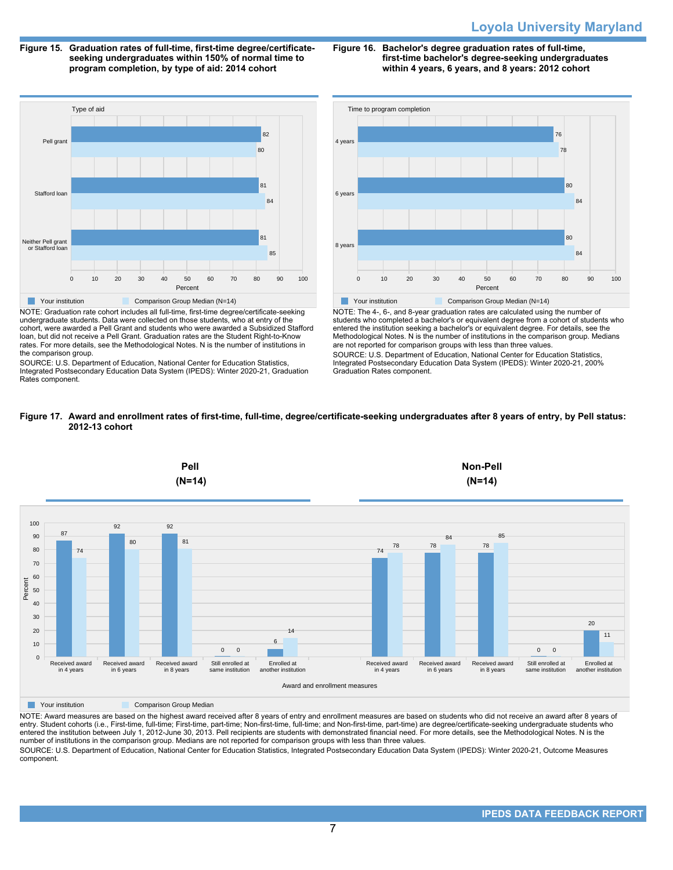# **Loyola University Maryland**

**Figure 15. Graduation rates of full-time, first-time degree/certificateseeking undergraduates within 150% of normal time to program completion, by type of aid: 2014 cohort**

**Figure 16. Bachelor's degree graduation rates of full-time, first-time bachelor's degree-seeking undergraduates within 4 years, 6 years, and 8 years: 2012 cohort**



NOTE: Graduation rate cohort includes all full-time, first-time degree/certificate-seeking undergraduate students. Data were collected on those students, who at entry of the cohort, were awarded a Pell Grant and students who were awarded a Subsidized Stafford loan, but did not receive a Pell Grant. Graduation rates are the Student Right-to-Know rates. For more details, see the Methodological Notes. N is the number of institutions in the comparison group.

SOURCE: U.S. Department of Education, National Center for Education Statistics, Integrated Postsecondary Education Data System (IPEDS): Winter 2020-21, Graduation Rates component.



NOTE: The 4-, 6-, and 8-year graduation rates are calculated using the number of students who completed a bachelor's or equivalent degree from a cohort of students who entered the institution seeking a bachelor's or equivalent degree. For details, see the Methodological Notes. N is the number of institutions in the comparison group. Medians are not reported for comparison groups with less than three values. SOURCE: U.S. Department of Education, National Center for Education Statistics, Integrated Postsecondary Education Data System (IPEDS): Winter 2020-21, 200% Graduation Rates component.

### **Figure 17. Award and enrollment rates of first-time, full-time, degree/certificate-seeking undergraduates after 8 years of entry, by Pell status: 2012-13 cohort**



**The Your institution Comparison Group Median** 

NOTE: Award measures are based on the highest award received after 8 years of entry and enrollment measures are based on students who did not receive an award after 8 years of entry. Student cohorts (i.e., First-time, full-time; First-time, part-time; Non-first-time, full-time; and Non-first-time, part-time) are degree/certificate-seeking undergraduate students who entered the institution between July 1, 2012-June 30, 2013. Pell recipients are students with demonstrated financial need. For more details, see the Methodological Notes. N is the number of institutions in the comparison group. Medians are not reported for comparison groups with less than three values.

SOURCE: U.S. Department of Education, National Center for Education Statistics, Integrated Postsecondary Education Data System (IPEDS): Winter 2020-21, Outcome Measures component.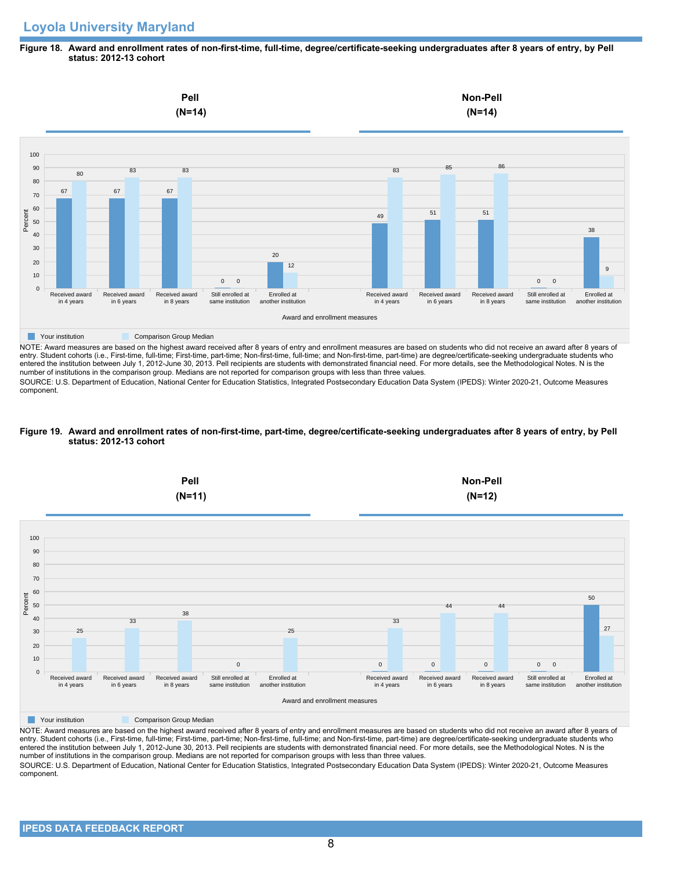### **Figure 18. Award and enrollment rates of non-first-time, full-time, degree/certificate-seeking undergraduates after 8 years of entry, by Pell status: 2012-13 cohort**



NOTE: Award measures are based on the highest award received after 8 years of entry and enrollment measures are based on students who did not receive an award after 8 years of entry. Student cohorts (i.e., First-time, full-time; First-time, part-time; Non-first-time, full-time; and Non-first-time, part-time) are degree/certificate-seeking undergraduate students who entered the institution between July 1, 2012-June 30, 2013. Pell recipients are students with demonstrated financial need. For more details, see the Methodological Notes. N is the number of institutions in the comparison group. Medians are not reported for comparison groups with less than three values.

SOURCE: U.S. Department of Education, National Center for Education Statistics, Integrated Postsecondary Education Data System (IPEDS): Winter 2020-21, Outcome Measures component.

### **Figure 19. Award and enrollment rates of non-first-time, part-time, degree/certificate-seeking undergraduates after 8 years of entry, by Pell status: 2012-13 cohort**



NOTE: Award measures are based on the highest award received after 8 years of entry and enrollment measures are based on students who did not receive an award after 8 years of entry. Student cohorts (i.e., First-time, full-time; First-time, part-time; Non-first-time, full-time; and Non-first-time, part-time) are degree/certificate-seeking undergraduate students who entered the institution between July 1, 2012-June 30, 2013. Pell recipients are students with demonstrated financial need. For more details, see the Methodological Notes. N is the number of institutions in the comparison group. Medians are not reported for comparison groups with less than three values. SOURCE: U.S. Department of Education, National Center for Education Statistics, Integrated Postsecondary Education Data System (IPEDS): Winter 2020-21, Outcome Measures component.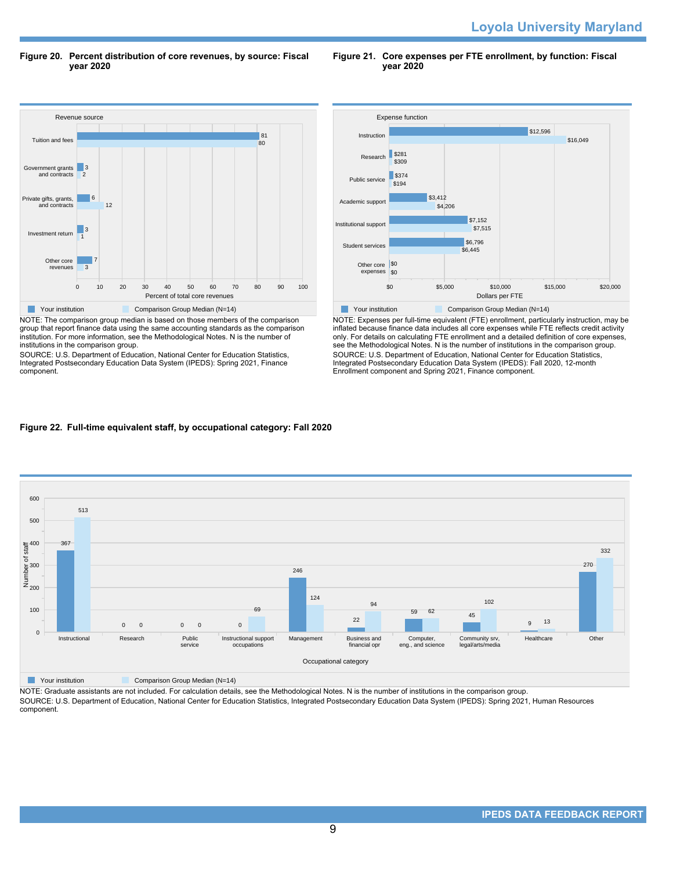**Figure 20. Percent distribution of core revenues, by source: Fiscal year 2020**

**Figure 21. Core expenses per FTE enrollment, by function: Fiscal year 2020**



NOTE: The comparison group median is based on those members of the comparison group that report finance data using the same accounting standards as the comparison institution. For more information, see the Methodological Notes. N is the number of institutions in the comparison group.

SOURCE: U.S. Department of Education, National Center for Education Statistics, Integrated Postsecondary Education Data System (IPEDS): Spring 2021, Finance component.



NOTE: Expenses per full-time equivalent (FTE) enrollment, particularly instruction, may be inflated because finance data includes all core expenses while FTE reflects credit activity only. For details on calculating FTE enrollment and a detailed definition of core expenses, see the Methodological Notes. N is the number of institutions in the comparison group. SOURCE: U.S. Department of Education, National Center for Education Statistics, Integrated Postsecondary Education Data System (IPEDS): Fall 2020, 12-month Enrollment component and Spring 2021, Finance component.

# **Figure 22. Full-time equivalent staff, by occupational category: Fall 2020**



**Nour institution Comparison Group Median (N=14)** 

NOTE: Graduate assistants are not included. For calculation details, see the Methodological Notes. N is the number of institutions in the comparison group. SOURCE: U.S. Department of Education, National Center for Education Statistics, Integrated Postsecondary Education Data System (IPEDS): Spring 2021, Human Resources component.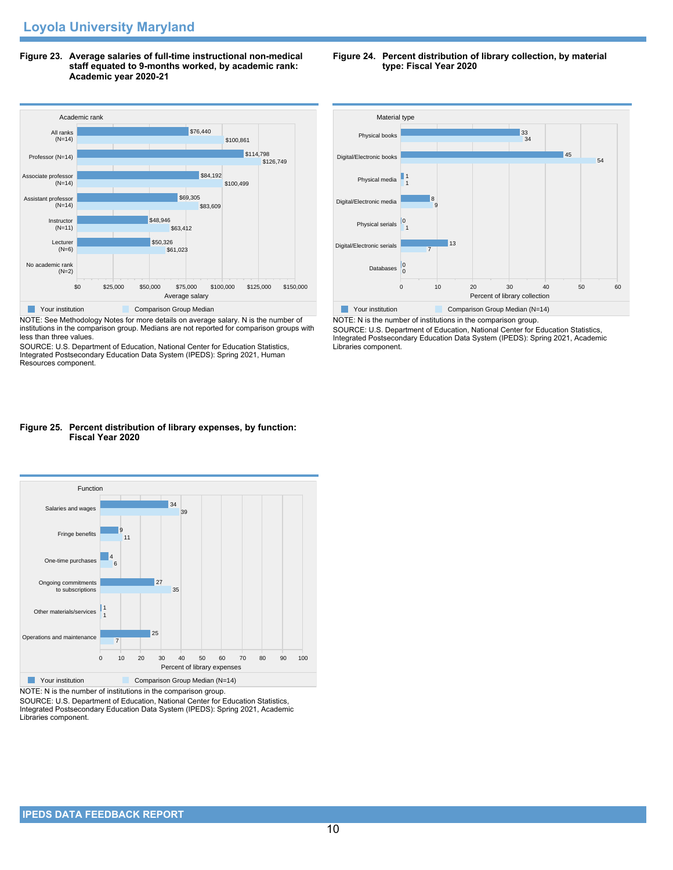**Figure 23. Average salaries of full-time instructional non-medical staff equated to 9-months worked, by academic rank: Academic year 2020-21**



NOTE: See Methodology Notes for more details on average salary. N is the number of institutions in the comparison group. Medians are not reported for comparison groups with less than three values.

SOURCE: U.S. Department of Education, National Center for Education Statistics, Integrated Postsecondary Education Data System (IPEDS): Spring 2021, Human Resources component.

# **Figure 25. Percent distribution of library expenses, by function: Fiscal Year 2020**



NOTE: N is the number of institutions in the comparison group.

SOURCE: U.S. Department of Education, National Center for Education Statistics, Integrated Postsecondary Education Data System (IPEDS): Spring 2021, Academic Libraries component.





NOTE: N is the number of institutions in the comparison group. SOURCE: U.S. Department of Education, National Center for Education Statistics, Integrated Postsecondary Education Data System (IPEDS): Spring 2021, Academic Libraries component.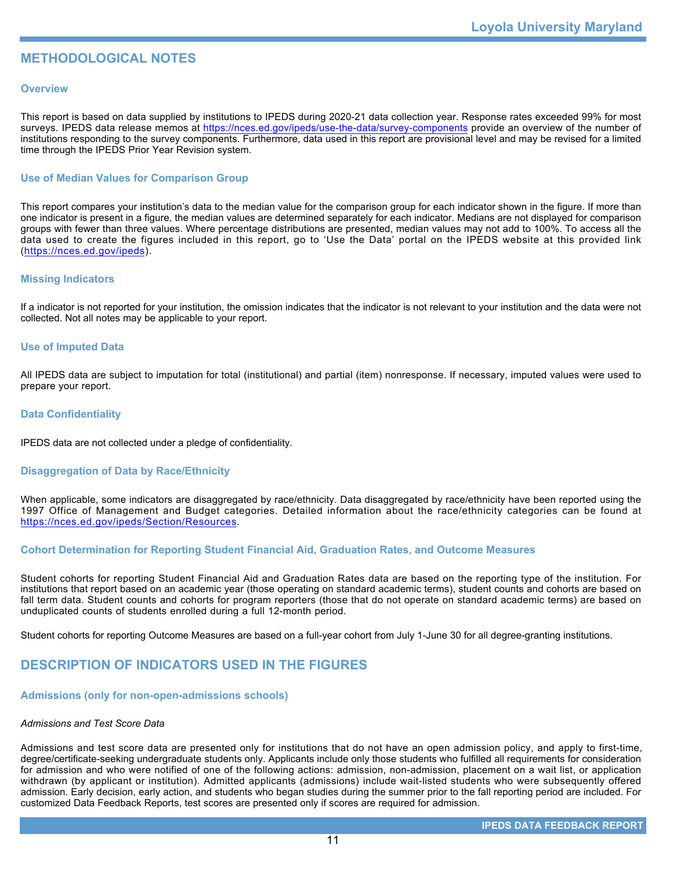# **METHODOLOGICAL NOTES**

# **Overview**

This report is based on data supplied by institutions to IPEDS during 2020-21 data collection year. Response rates exceeded 99% for most surveys. IPEDS data release memos at <https://nces.ed.gov/ipeds/use-the-data/survey-components> provide an overview of the number of institutions responding to the survey components. Furthermore, data used in this report are provisional level and may be revised for a limited time through the IPEDS Prior Year Revision system.

# **Use of Median Values for Comparison Group**

This report compares your institution's data to the median value for the comparison group for each indicator shown in the figure. If more than one indicator is present in a figure, the median values are determined separately for each indicator. Medians are not displayed for comparison groups with fewer than three values. Where percentage distributions are presented, median values may not add to 100%. To access all the data used to create the figures included in this report, go to 'Use the Data' portal on the IPEDS website at this provided link (<https://nces.ed.gov/ipeds>).

# **Missing Indicators**

If a indicator is not reported for your institution, the omission indicates that the indicator is not relevant to your institution and the data were not collected. Not all notes may be applicable to your report.

# **Use of Imputed Data**

All IPEDS data are subject to imputation for total (institutional) and partial (item) nonresponse. If necessary, imputed values were used to prepare your report.

# **Data Confidentiality**

IPEDS data are not collected under a pledge of confidentiality.

# **Disaggregation of Data by Race/Ethnicity**

When applicable, some indicators are disaggregated by race/ethnicity. Data disaggregated by race/ethnicity have been reported using the 1997 Office of Management and Budget categories. Detailed information about the race/ethnicity categories can be found at <https://nces.ed.gov/ipeds/Section/Resources>.

# **Cohort Determination for Reporting Student Financial Aid, Graduation Rates, and Outcome Measures**

Student cohorts for reporting Student Financial Aid and Graduation Rates data are based on the reporting type of the institution. For institutions that report based on an academic year (those operating on standard academic terms), student counts and cohorts are based on fall term data. Student counts and cohorts for program reporters (those that do not operate on standard academic terms) are based on unduplicated counts of students enrolled during a full 12-month period.

Student cohorts for reporting Outcome Measures are based on a full-year cohort from July 1-June 30 for all degree-granting institutions.

# **DESCRIPTION OF INDICATORS USED IN THE FIGURES**

# **Admissions (only for non-open-admissions schools)**

### *Admissions and Test Score Data*

Admissions and test score data are presented only for institutions that do not have an open admission policy, and apply to first-time, degree/certificate-seeking undergraduate students only. Applicants include only those students who fulfilled all requirements for consideration for admission and who were notified of one of the following actions: admission, non-admission, placement on a wait list, or application withdrawn (by applicant or institution). Admitted applicants (admissions) include wait-listed students who were subsequently offered admission. Early decision, early action, and students who began studies during the summer prior to the fall reporting period are included. For customized Data Feedback Reports, test scores are presented only if scores are required for admission.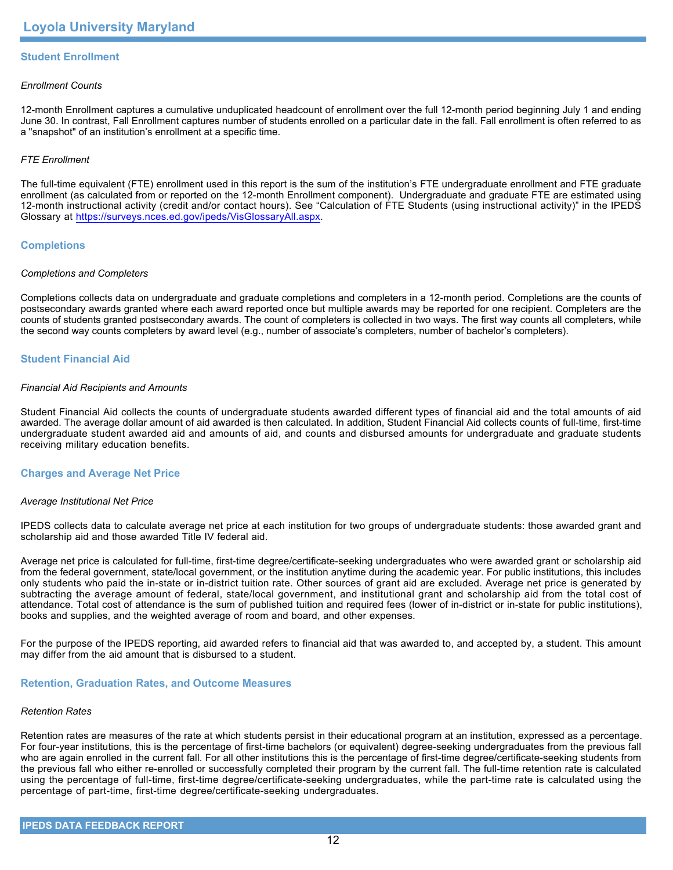# **Student Enrollment**

# *Enrollment Counts*

12-month Enrollment captures a cumulative unduplicated headcount of enrollment over the full 12-month period beginning July 1 and ending June 30. In contrast, Fall Enrollment captures number of students enrolled on a particular date in the fall. Fall enrollment is often referred to as a "snapshot" of an institution's enrollment at a specific time.

# *FTE Enrollment*

The full-time equivalent (FTE) enrollment used in this report is the sum of the institution's FTE undergraduate enrollment and FTE graduate enrollment (as calculated from or reported on the 12-month Enrollment component). Undergraduate and graduate FTE are estimated using 12-month instructional activity (credit and/or contact hours). See "Calculation of FTE Students (using instructional activity)" in the IPEDS Glossary at <https://surveys.nces.ed.gov/ipeds/VisGlossaryAll.aspx>.

# **Completions**

### *Completions and Completers*

Completions collects data on undergraduate and graduate completions and completers in a 12-month period. Completions are the counts of postsecondary awards granted where each award reported once but multiple awards may be reported for one recipient. Completers are the counts of students granted postsecondary awards. The count of completers is collected in two ways. The first way counts all completers, while the second way counts completers by award level (e.g., number of associate's completers, number of bachelor's completers).

# **Student Financial Aid**

### *Financial Aid Recipients and Amounts*

Student Financial Aid collects the counts of undergraduate students awarded different types of financial aid and the total amounts of aid awarded. The average dollar amount of aid awarded is then calculated. In addition, Student Financial Aid collects counts of full-time, first-time undergraduate student awarded aid and amounts of aid, and counts and disbursed amounts for undergraduate and graduate students receiving military education benefits.

### **Charges and Average Net Price**

### *Average Institutional Net Price*

IPEDS collects data to calculate average net price at each institution for two groups of undergraduate students: those awarded grant and scholarship aid and those awarded Title IV federal aid.

Average net price is calculated for full-time, first-time degree/certificate-seeking undergraduates who were awarded grant or scholarship aid from the federal government, state/local government, or the institution anytime during the academic year. For public institutions, this includes only students who paid the in-state or in-district tuition rate. Other sources of grant aid are excluded. Average net price is generated by subtracting the average amount of federal, state/local government, and institutional grant and scholarship aid from the total cost of attendance. Total cost of attendance is the sum of published tuition and required fees (lower of in-district or in-state for public institutions), books and supplies, and the weighted average of room and board, and other expenses.

For the purpose of the IPEDS reporting, aid awarded refers to financial aid that was awarded to, and accepted by, a student. This amount may differ from the aid amount that is disbursed to a student.

### **Retention, Graduation Rates, and Outcome Measures**

### *Retention Rates*

Retention rates are measures of the rate at which students persist in their educational program at an institution, expressed as a percentage. For four-year institutions, this is the percentage of first-time bachelors (or equivalent) degree-seeking undergraduates from the previous fall who are again enrolled in the current fall. For all other institutions this is the percentage of first-time degree/certificate-seeking students from the previous fall who either re-enrolled or successfully completed their program by the current fall. The full-time retention rate is calculated using the percentage of full-time, first-time degree/certificate-seeking undergraduates, while the part-time rate is calculated using the percentage of part-time, first-time degree/certificate-seeking undergraduates.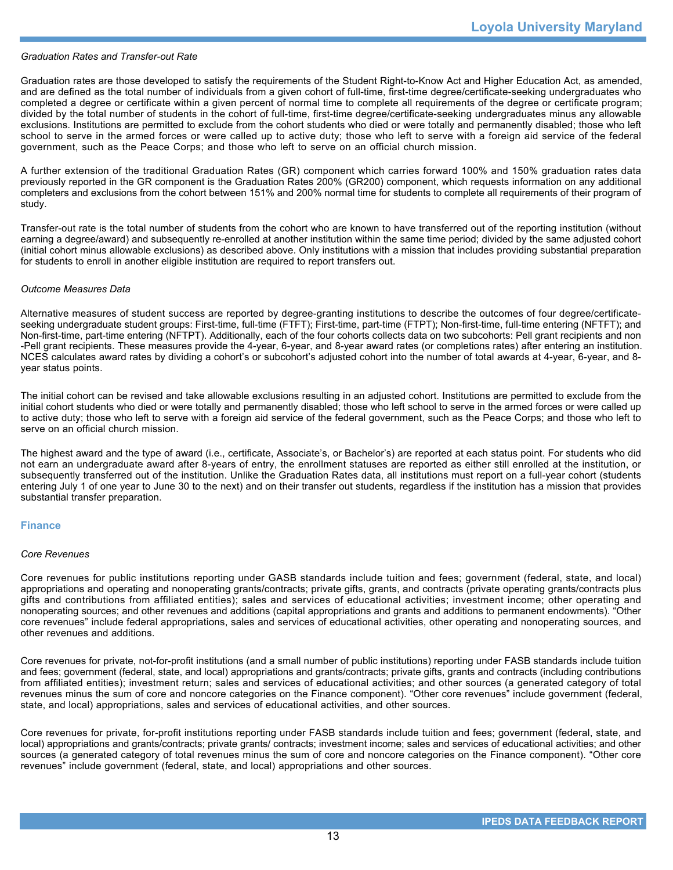### *Graduation Rates and Transfer-out Rate*

Graduation rates are those developed to satisfy the requirements of the Student Right-to-Know Act and Higher Education Act, as amended, and are defined as the total number of individuals from a given cohort of full-time, first-time degree/certificate-seeking undergraduates who completed a degree or certificate within a given percent of normal time to complete all requirements of the degree or certificate program; divided by the total number of students in the cohort of full-time, first-time degree/certificate-seeking undergraduates minus any allowable exclusions. Institutions are permitted to exclude from the cohort students who died or were totally and permanently disabled; those who left school to serve in the armed forces or were called up to active duty; those who left to serve with a foreign aid service of the federal government, such as the Peace Corps; and those who left to serve on an official church mission.

A further extension of the traditional Graduation Rates (GR) component which carries forward 100% and 150% graduation rates data previously reported in the GR component is the Graduation Rates 200% (GR200) component, which requests information on any additional completers and exclusions from the cohort between 151% and 200% normal time for students to complete all requirements of their program of study.

Transfer-out rate is the total number of students from the cohort who are known to have transferred out of the reporting institution (without earning a degree/award) and subsequently re-enrolled at another institution within the same time period; divided by the same adjusted cohort (initial cohort minus allowable exclusions) as described above. Only institutions with a mission that includes providing substantial preparation for students to enroll in another eligible institution are required to report transfers out.

### *Outcome Measures Data*

Alternative measures of student success are reported by degree-granting institutions to describe the outcomes of four degree/certificateseeking undergraduate student groups: First-time, full-time (FTFT); First-time, part-time (FTPT); Non-first-time, full-time entering (NFTFT); and Non-first-time, part-time entering (NFTPT). Additionally, each of the four cohorts collects data on two subcohorts: Pell grant recipients and non -Pell grant recipients. These measures provide the 4-year, 6-year, and 8-year award rates (or completions rates) after entering an institution. NCES calculates award rates by dividing a cohort's or subcohort's adjusted cohort into the number of total awards at 4-year, 6-year, and 8year status points.

The initial cohort can be revised and take allowable exclusions resulting in an adjusted cohort. Institutions are permitted to exclude from the initial cohort students who died or were totally and permanently disabled; those who left school to serve in the armed forces or were called up to active duty; those who left to serve with a foreign aid service of the federal government, such as the Peace Corps; and those who left to serve on an official church mission.

The highest award and the type of award (i.e., certificate, Associate's, or Bachelor's) are reported at each status point. For students who did not earn an undergraduate award after 8-years of entry, the enrollment statuses are reported as either still enrolled at the institution, or subsequently transferred out of the institution. Unlike the Graduation Rates data, all institutions must report on a full-year cohort (students entering July 1 of one year to June 30 to the next) and on their transfer out students, regardless if the institution has a mission that provides substantial transfer preparation.

### **Finance**

### *Core Revenues*

Core revenues for public institutions reporting under GASB standards include tuition and fees; government (federal, state, and local) appropriations and operating and nonoperating grants/contracts; private gifts, grants, and contracts (private operating grants/contracts plus gifts and contributions from affiliated entities); sales and services of educational activities; investment income; other operating and nonoperating sources; and other revenues and additions (capital appropriations and grants and additions to permanent endowments). "Other core revenues" include federal appropriations, sales and services of educational activities, other operating and nonoperating sources, and other revenues and additions.

Core revenues for private, not-for-profit institutions (and a small number of public institutions) reporting under FASB standards include tuition and fees; government (federal, state, and local) appropriations and grants/contracts; private gifts, grants and contracts (including contributions from affiliated entities); investment return; sales and services of educational activities; and other sources (a generated category of total revenues minus the sum of core and noncore categories on the Finance component). "Other core revenues" include government (federal, state, and local) appropriations, sales and services of educational activities, and other sources.

Core revenues for private, for-profit institutions reporting under FASB standards include tuition and fees; government (federal, state, and local) appropriations and grants/contracts; private grants/ contracts; investment income; sales and services of educational activities; and other sources (a generated category of total revenues minus the sum of core and noncore categories on the Finance component). "Other core revenues" include government (federal, state, and local) appropriations and other sources.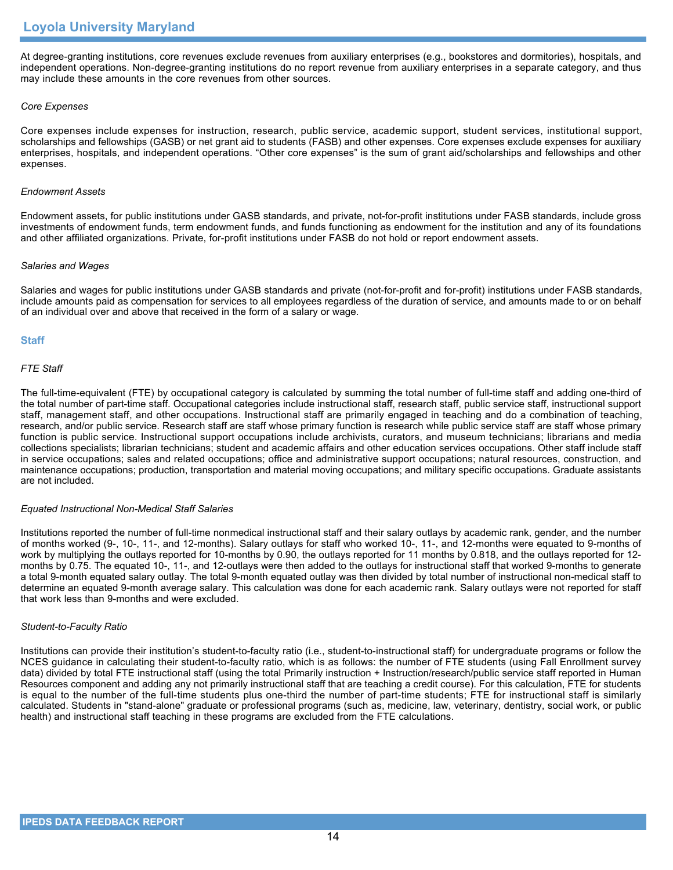At degree-granting institutions, core revenues exclude revenues from auxiliary enterprises (e.g., bookstores and dormitories), hospitals, and independent operations. Non-degree-granting institutions do no report revenue from auxiliary enterprises in a separate category, and thus may include these amounts in the core revenues from other sources.

# *Core Expenses*

Core expenses include expenses for instruction, research, public service, academic support, student services, institutional support, scholarships and fellowships (GASB) or net grant aid to students (FASB) and other expenses. Core expenses exclude expenses for auxiliary enterprises, hospitals, and independent operations. "Other core expenses" is the sum of grant aid/scholarships and fellowships and other expenses.

### *Endowment Assets*

Endowment assets, for public institutions under GASB standards, and private, not-for-profit institutions under FASB standards, include gross investments of endowment funds, term endowment funds, and funds functioning as endowment for the institution and any of its foundations and other affiliated organizations. Private, for-profit institutions under FASB do not hold or report endowment assets.

### *Salaries and Wages*

Salaries and wages for public institutions under GASB standards and private (not-for-profit and for-profit) institutions under FASB standards, include amounts paid as compensation for services to all employees regardless of the duration of service, and amounts made to or on behalf of an individual over and above that received in the form of a salary or wage.

# **Staff**

# *FTE Staff*

The full-time-equivalent (FTE) by occupational category is calculated by summing the total number of full-time staff and adding one-third of the total number of part-time staff. Occupational categories include instructional staff, research staff, public service staff, instructional support staff, management staff, and other occupations. Instructional staff are primarily engaged in teaching and do a combination of teaching, research, and/or public service. Research staff are staff whose primary function is research while public service staff are staff whose primary function is public service. Instructional support occupations include archivists, curators, and museum technicians; librarians and media collections specialists; librarian technicians; student and academic affairs and other education services occupations. Other staff include staff in service occupations; sales and related occupations; office and administrative support occupations; natural resources, construction, and maintenance occupations; production, transportation and material moving occupations; and military specific occupations. Graduate assistants are not included.

### *Equated Instructional Non-Medical Staff Salaries*

Institutions reported the number of full-time nonmedical instructional staff and their salary outlays by academic rank, gender, and the number of months worked (9-, 10-, 11-, and 12-months). Salary outlays for staff who worked 10-, 11-, and 12-months were equated to 9-months of work by multiplying the outlays reported for 10-months by 0.90, the outlays reported for 11 months by 0.818, and the outlays reported for 12 months by 0.75. The equated 10-, 11-, and 12-outlays were then added to the outlays for instructional staff that worked 9-months to generate a total 9-month equated salary outlay. The total 9-month equated outlay was then divided by total number of instructional non-medical staff to determine an equated 9-month average salary. This calculation was done for each academic rank. Salary outlays were not reported for staff that work less than 9-months and were excluded.

### *Student-to-Faculty Ratio*

Institutions can provide their institution's student-to-faculty ratio (i.e., student-to-instructional staff) for undergraduate programs or follow the NCES guidance in calculating their student-to-faculty ratio, which is as follows: the number of FTE students (using Fall Enrollment survey data) divided by total FTE instructional staff (using the total Primarily instruction + Instruction/research/public service staff reported in Human Resources component and adding any not primarily instructional staff that are teaching a credit course). For this calculation, FTE for students is equal to the number of the full-time students plus one-third the number of part-time students; FTE for instructional staff is similarly calculated. Students in "stand-alone" graduate or professional programs (such as, medicine, law, veterinary, dentistry, social work, or public health) and instructional staff teaching in these programs are excluded from the FTE calculations.